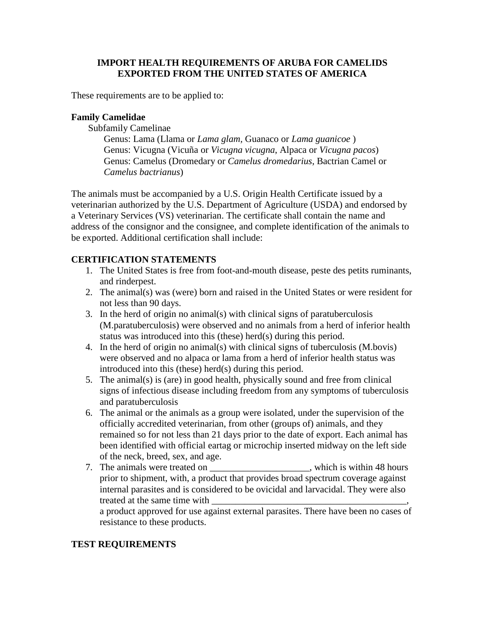## **IMPORT HEALTH REQUIREMENTS OF ARUBA FOR CAMELIDS EXPORTED FROM THE UNITED STATES OF AMERICA**

These requirements are to be applied to:

## **Family Camelidae**

Subfamily Camelinae

Genus: Lama (Llama or *Lama glam,* Guanaco or *Lama guanicoe* ) Genus: Vicugna (Vicuña or *Vicugna vicugna*, Alpaca or *Vicugna pacos*) Genus: Camelus (Dromedary or *Camelus dromedarius*, Bactrian Camel or *Camelus bactrianus*)

The animals must be accompanied by a U.S. Origin Health Certificate issued by a veterinarian authorized by the U.S. Department of Agriculture (USDA) and endorsed by a Veterinary Services (VS) veterinarian. The certificate shall contain the name and address of the consignor and the consignee, and complete identification of the animals to be exported. Additional certification shall include:

### **CERTIFICATION STATEMENTS**

- 1. The United States is free from foot-and-mouth disease, peste des petits ruminants, and rinderpest.
- 2. The animal(s) was (were) born and raised in the United States or were resident for not less than 90 days.
- 3. In the herd of origin no animal(s) with clinical signs of paratuberculosis (M.paratuberculosis) were observed and no animals from a herd of inferior health status was introduced into this (these) herd(s) during this period.
- 4. In the herd of origin no animal(s) with clinical signs of tuberculosis (M.bovis) were observed and no alpaca or lama from a herd of inferior health status was introduced into this (these) herd(s) during this period.
- 5. The animal(s) is (are) in good health, physically sound and free from clinical signs of infectious disease including freedom from any symptoms of tuberculosis and paratuberculosis
- 6. The animal or the animals as a group were isolated, under the supervision of the officially accredited veterinarian, from other (groups of) animals, and they remained so for not less than 21 days prior to the date of export. Each animal has been identified with official eartag or microchip inserted midway on the left side of the neck, breed, sex, and age.
- 7. The animals were treated on which is within 48 hours prior to shipment, with, a product that provides broad spectrum coverage against internal parasites and is considered to be ovicidal and larvacidal. They were also treated at the same time with

a product approved for use against external parasites. There have been no cases of resistance to these products.

## **TEST REQUIREMENTS**